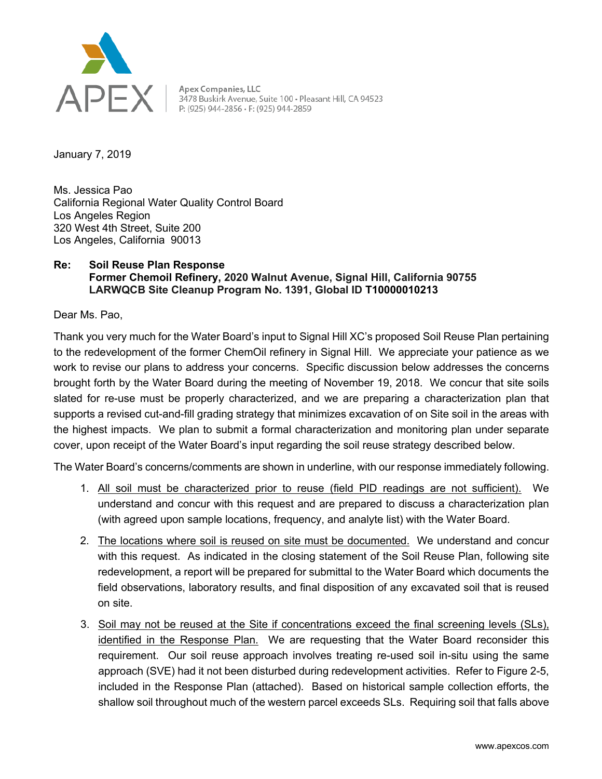

Apex Companies, LLC<br>3478 Buskirk Avenue, Suite 100 • Pleasant Hill, CA 94523<br>P: (925) 944-2856 • F: (925) 944-2859

January 7, 2019

Ms. Jessica Pao California Regional Water Quality Control Board Los Angeles Region 320 West 4th Street, Suite 200 Los Angeles, California 90013

## **Re: Soil Reuse Plan Response Former Chemoil Refinery, 2020 Walnut Avenue, Signal Hill, California 90755 LARWQCB Site Cleanup Program No. 1391, Global ID T10000010213**

Dear Ms. Pao,

Thank you very much for the Water Board's input to Signal Hill XC's proposed Soil Reuse Plan pertaining to the redevelopment of the former ChemOil refinery in Signal Hill. We appreciate your patience as we work to revise our plans to address your concerns. Specific discussion below addresses the concerns brought forth by the Water Board during the meeting of November 19, 2018. We concur that site soils slated for re-use must be properly characterized, and we are preparing a characterization plan that supports a revised cut-and-fill grading strategy that minimizes excavation of on Site soil in the areas with the highest impacts. We plan to submit a formal characterization and monitoring plan under separate cover, upon receipt of the Water Board's input regarding the soil reuse strategy described below.

The Water Board's concerns/comments are shown in underline, with our response immediately following.

- 1. All soil must be characterized prior to reuse (field PID readings are not sufficient). We understand and concur with this request and are prepared to discuss a characterization plan (with agreed upon sample locations, frequency, and analyte list) with the Water Board.
- 2. The locations where soil is reused on site must be documented. We understand and concur with this request. As indicated in the closing statement of the Soil Reuse Plan, following site redevelopment, a report will be prepared for submittal to the Water Board which documents the field observations, laboratory results, and final disposition of any excavated soil that is reused on site.
- 3. Soil may not be reused at the Site if concentrations exceed the final screening levels (SLs), identified in the Response Plan. We are requesting that the Water Board reconsider this requirement. Our soil reuse approach involves treating re-used soil in-situ using the same approach (SVE) had it not been disturbed during redevelopment activities. Refer to Figure 2-5, included in the Response Plan (attached). Based on historical sample collection efforts, the shallow soil throughout much of the western parcel exceeds SLs. Requiring soil that falls above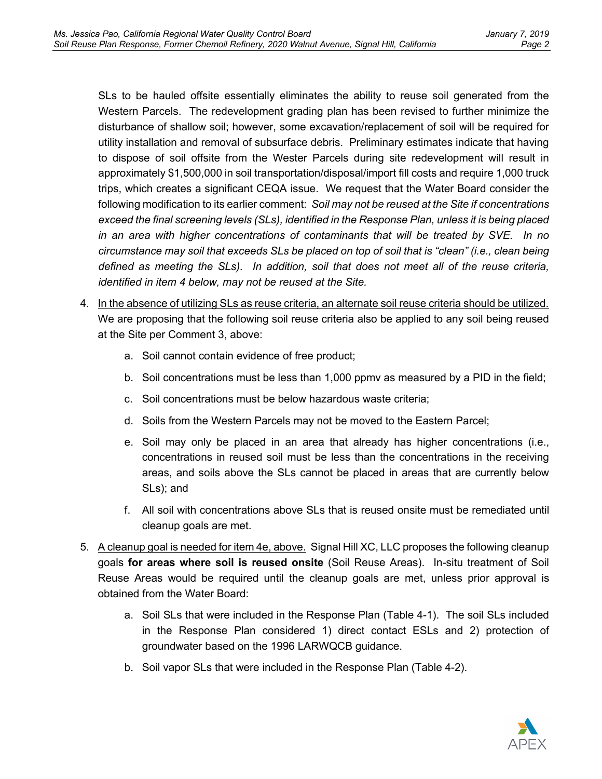SLs to be hauled offsite essentially eliminates the ability to reuse soil generated from the Western Parcels. The redevelopment grading plan has been revised to further minimize the disturbance of shallow soil; however, some excavation/replacement of soil will be required for utility installation and removal of subsurface debris. Preliminary estimates indicate that having to dispose of soil offsite from the Wester Parcels during site redevelopment will result in approximately \$1,500,000 in soil transportation/disposal/import fill costs and require 1,000 truck trips, which creates a significant CEQA issue. We request that the Water Board consider the following modification to its earlier comment: *Soil may not be reused at the Site if concentrations exceed the final screening levels (SLs), identified in the Response Plan, unless it is being placed in an area with higher concentrations of contaminants that will be treated by SVE. In no circumstance may soil that exceeds SLs be placed on top of soil that is "clean" (i.e., clean being defined as meeting the SLs). In addition, soil that does not meet all of the reuse criteria, identified in item 4 below, may not be reused at the Site.*

- 4. In the absence of utilizing SLs as reuse criteria, an alternate soil reuse criteria should be utilized. We are proposing that the following soil reuse criteria also be applied to any soil being reused at the Site per Comment 3, above:
	- a. Soil cannot contain evidence of free product;
	- b. Soil concentrations must be less than 1,000 ppmv as measured by a PID in the field;
	- c. Soil concentrations must be below hazardous waste criteria;
	- d. Soils from the Western Parcels may not be moved to the Eastern Parcel;
	- e. Soil may only be placed in an area that already has higher concentrations (i.e., concentrations in reused soil must be less than the concentrations in the receiving areas, and soils above the SLs cannot be placed in areas that are currently below SLs); and
	- f. All soil with concentrations above SLs that is reused onsite must be remediated until cleanup goals are met.
- 5. A cleanup goal is needed for item 4e, above. Signal Hill XC, LLC proposes the following cleanup goals **for areas where soil is reused onsite** (Soil Reuse Areas). In-situ treatment of Soil Reuse Areas would be required until the cleanup goals are met, unless prior approval is obtained from the Water Board:
	- a. Soil SLs that were included in the Response Plan (Table 4-1). The soil SLs included in the Response Plan considered 1) direct contact ESLs and 2) protection of groundwater based on the 1996 LARWQCB guidance.
	- b. Soil vapor SLs that were included in the Response Plan (Table 4-2).

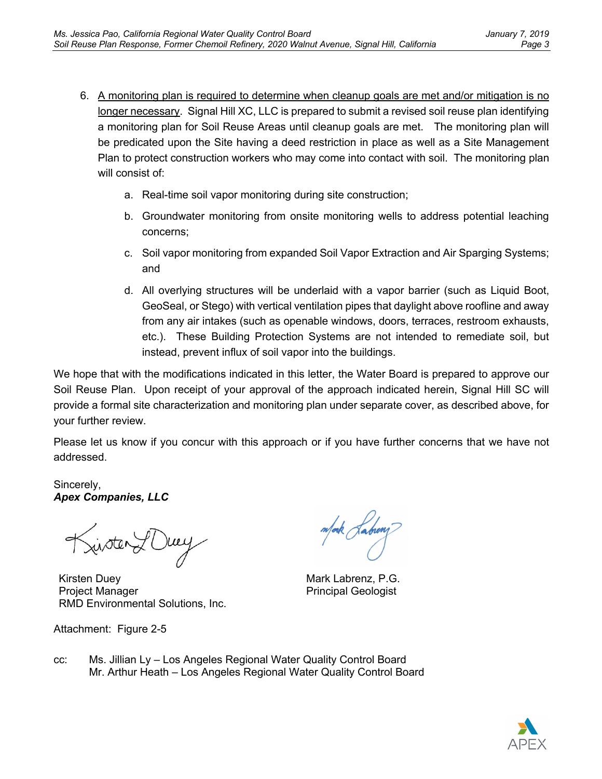- 6. A monitoring plan is required to determine when cleanup goals are met and/or mitigation is no longer necessary. Signal Hill XC, LLC is prepared to submit a revised soil reuse plan identifying a monitoring plan for Soil Reuse Areas until cleanup goals are met. The monitoring plan will be predicated upon the Site having a deed restriction in place as well as a Site Management Plan to protect construction workers who may come into contact with soil. The monitoring plan will consist of:
	- a. Real-time soil vapor monitoring during site construction;
	- b. Groundwater monitoring from onsite monitoring wells to address potential leaching concerns;
	- c. Soil vapor monitoring from expanded Soil Vapor Extraction and Air Sparging Systems; and
	- d. All overlying structures will be underlaid with a vapor barrier (such as Liquid Boot, GeoSeal, or Stego) with vertical ventilation pipes that daylight above roofline and away from any air intakes (such as openable windows, doors, terraces, restroom exhausts, etc.). These Building Protection Systems are not intended to remediate soil, but instead, prevent influx of soil vapor into the buildings.

We hope that with the modifications indicated in this letter, the Water Board is prepared to approve our Soil Reuse Plan. Upon receipt of your approval of the approach indicated herein, Signal Hill SC will provide a formal site characterization and monitoring plan under separate cover, as described above, for your further review.

Please let us know if you concur with this approach or if you have further concerns that we have not addressed.

Sincerely, *Apex Companies, LLC*

Kinster LOwey

Kirsten Duey Project Manager RMD Environmental Solutions, Inc.

Attachment: Figure 2-5

mfork *Kabiong* 

Mark Labrenz, P.G. Principal Geologist

cc: Ms. Jillian Ly – Los Angeles Regional Water Quality Control Board Mr. Arthur Heath – Los Angeles Regional Water Quality Control Board